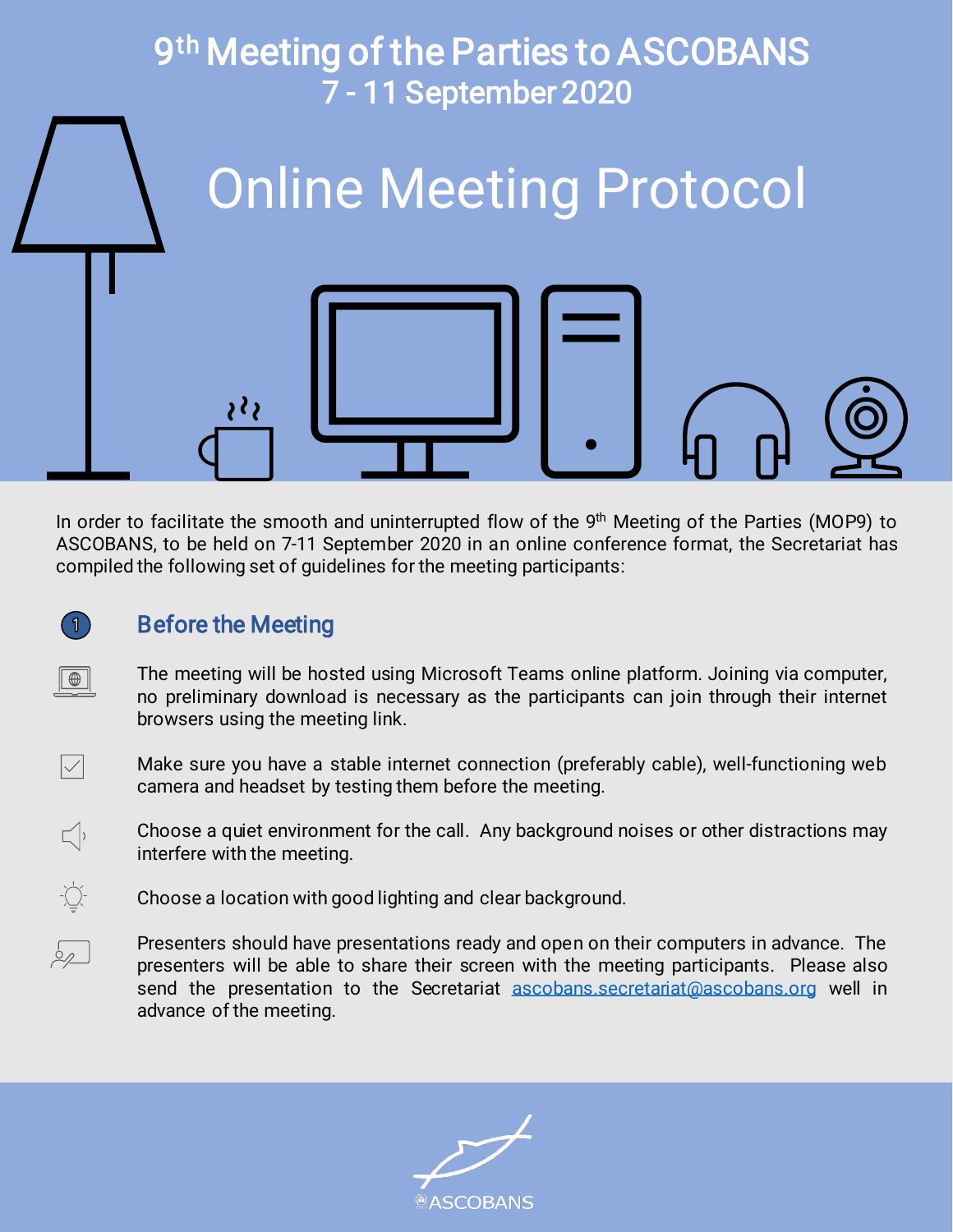

In order to facilitate the smooth and uninterrupted flow of the 9<sup>th</sup> Meeting of the Parties (MOP9) to ASCOBANS, to be held on 7-11 September 2020 in an online conference format, the Secretariat has compiled the following set of guidelines for the meeting participants:

## **Before the Meeting**

 $\vert$ 1

 $\boxed{\oplus}$ 

 $\boxed{\checkmark}$ 

 $\sqrt{ }$ 

 $\frac{1}{2} \sum_{i=1}^{n}$ 

 $\sqrt{2}$ 

The meeting will be hosted using Microsoft Teams online platform. Joining via computer, no preliminary download is necessary as the participants can join through their internet browsers using the meeting link.

Make sure you have a stable internet connection (preferably cable), well-functioning web camera and headset by testing them before the meeting.

Choose a quiet environment for the call. Any background noises or other distractions may interfere with the meeting.

Choose a location with good lighting and clear background.

Presenters should have presentations ready and open on their computers in advance. The presenters will be able to share their screen with the meeting participants. Please also send the presentation to the Secretariat [ascobans.secretariat@ascobans.org](mailto:ascobans.secretariat@ascobans.org) well in advance of the meeting.

**ASCOBANS**